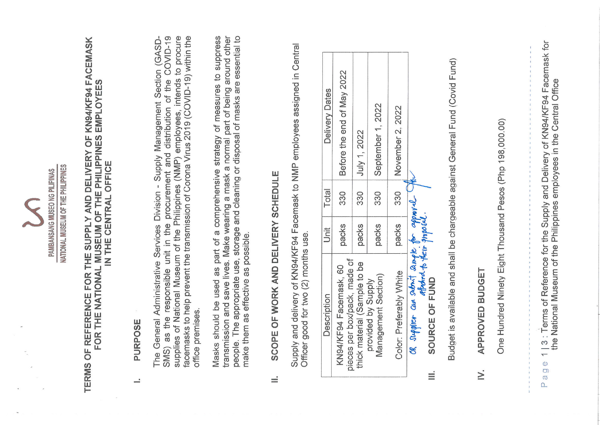|          |                                                                                              | NATIONAL MUSEUM OF THE PHILIPPINES<br>PAMBANSANG MUSEO NG PILIPINAS |       |                                                                                                                                                                                                                                                                                                                                                    |
|----------|----------------------------------------------------------------------------------------------|---------------------------------------------------------------------|-------|----------------------------------------------------------------------------------------------------------------------------------------------------------------------------------------------------------------------------------------------------------------------------------------------------------------------------------------------------|
|          |                                                                                              | IN THE CENTRAL OFFICE                                               |       | TERMS OF REFERENCE FOR THE SUPPLY AND DELIVERY OF KN94/KF94 FACEMASK<br>FOR THE NATIONAL MUSEUM OF THE PHILIPPINES EMPLOYEES                                                                                                                                                                                                                       |
| ÷        | PURPOSE                                                                                      |                                                                     |       |                                                                                                                                                                                                                                                                                                                                                    |
|          | office premises.                                                                             |                                                                     |       | SMS) as the responsible unit in the procurement and distribution of the COVID-19<br>supplies of National Museum of the Philippines (NMP) employees, intends to procure<br>facemasks to help prevent the transmission of Corona Virus 2019 (COVID-19) within the<br>The General Administrative Services Division - Supply Management Section (GASD- |
|          | make them as effective as possible.                                                          |                                                                     |       | transmission and save lives. Make wearing a mask a normal part of being around other<br>people. The appropriate use, storage and cleaning or disposal of masks are essential to<br>Masks should be used as part of a comprehensive strategy of measures to suppress                                                                                |
| ÷        | SCOPE OF WORK AND DELIVERY SCHEDULE                                                          |                                                                     |       |                                                                                                                                                                                                                                                                                                                                                    |
|          | Officer good for two (2) months use.                                                         |                                                                     |       | Supply and delivery of KN94/KF94 Facemask to NMP employees assigned in Central                                                                                                                                                                                                                                                                     |
|          | Description                                                                                  | Unit                                                                | Total | Delivery Dates                                                                                                                                                                                                                                                                                                                                     |
|          | pieces per box/pack, made of<br>KN94/KF94 Facemask, 60                                       | packs                                                               | 330   | Before the end of May 2022                                                                                                                                                                                                                                                                                                                         |
|          | thick material (Sample to be                                                                 | packs                                                               | 330   | July 1, 2022                                                                                                                                                                                                                                                                                                                                       |
|          | Management Section)<br>provided by Supply                                                    | packs                                                               | 330   | September 1, 2022                                                                                                                                                                                                                                                                                                                                  |
|          | Color: Preferably White                                                                      | packs                                                               | 330   | 2022<br>November 2.                                                                                                                                                                                                                                                                                                                                |
| $\equiv$ | OR supplier can suboit sample for approval.<br>affected to their phoposal.<br>SOURCE OF FUND |                                                                     |       |                                                                                                                                                                                                                                                                                                                                                    |
|          |                                                                                              |                                                                     |       | Budget is available and shall be chargeable against General Fund (Covid Fund)                                                                                                                                                                                                                                                                      |
|          | APPROVED BUDGET<br>$\geq$                                                                    |                                                                     |       |                                                                                                                                                                                                                                                                                                                                                    |
|          | One Hundred Ninety Eight Thousand Pesos (Php 198,000.00)                                     |                                                                     |       |                                                                                                                                                                                                                                                                                                                                                    |
|          |                                                                                              |                                                                     |       | 111111111111111                                                                                                                                                                                                                                                                                                                                    |
|          | Page                                                                                         |                                                                     |       | 1   3 : Terms of Reference for the Supply and Delivery of KN94/KF94 Facemask for<br>the National Museum of the Philippines employees in the Central Office                                                                                                                                                                                         |

S

 $\ddot{\phantom{a}}$ 

 $\sim$ 

 $\overline{\phantom{a}}$ 

C)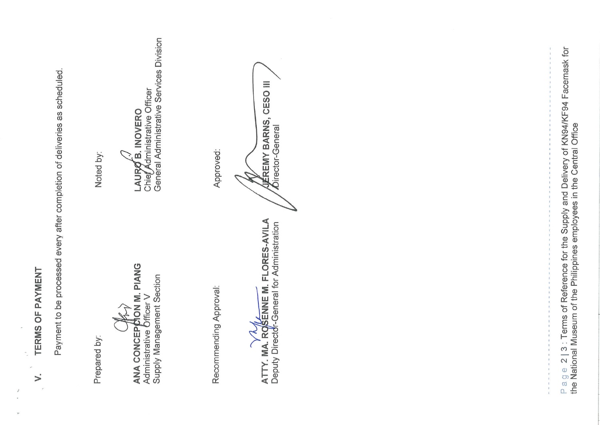TERMS OF PAYMENT  $\mathcal{L}$ 

Payment to be processed every after completion of deliveries as scheduled.

Prepared by:

ANA CONCEPCON M. PIANG

Supply Management Section Administrative **Officer V** 

Noted by:

Administrative Officer LAURO B. INOVERO Chier

Genéral Administrative Services Division

Recommending Approval:

ATTY. MA. ROSENNE M. FLORES-AVILA ≺

Deputy Director-General for Administration

Approved:

CESO III ÉREMY BARNS, Director-General

Page 2 | 3: Terms of Reference for the Supply and Delivery of KN94/KF94 Facemask for<br>the National Museum of the Philippines employees in the Central Office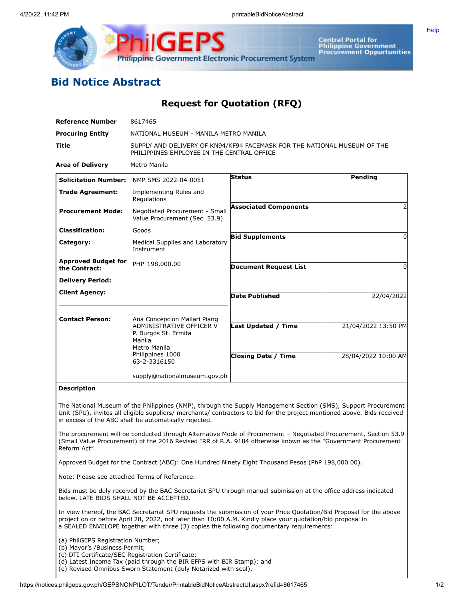

**ilGEPS Philippine Government Electronic Procurement System** 

**Central Portal for<br>Philippine Government Procurement Oppurtunities** 

## **Bid Notice Abstract**

## **Request for Quotation (RFQ)**

| <b>Reference Number</b>                                                                                                                                                                                                                                                                             | 8617465                                                                                                                                        |                              |                     |  |  |
|-----------------------------------------------------------------------------------------------------------------------------------------------------------------------------------------------------------------------------------------------------------------------------------------------------|------------------------------------------------------------------------------------------------------------------------------------------------|------------------------------|---------------------|--|--|
| <b>Procuring Entity</b>                                                                                                                                                                                                                                                                             | NATIONAL MUSEUM - MANILA METRO MANILA                                                                                                          |                              |                     |  |  |
| Title                                                                                                                                                                                                                                                                                               | SUPPLY AND DELIVERY OF KN94/KF94 FACEMASK FOR THE NATIONAL MUSEUM OF THE<br>PHILIPPINES EMPLOYEE IN THE CENTRAL OFFICE                         |                              |                     |  |  |
| <b>Area of Delivery</b>                                                                                                                                                                                                                                                                             | Metro Manila                                                                                                                                   |                              |                     |  |  |
| <b>Solicitation Number:</b>                                                                                                                                                                                                                                                                         | NMP SMS 2022-04-0051                                                                                                                           | <b>Status</b>                | Pending             |  |  |
| <b>Trade Agreement:</b>                                                                                                                                                                                                                                                                             | Implementing Rules and<br>Regulations                                                                                                          |                              |                     |  |  |
| <b>Procurement Mode:</b>                                                                                                                                                                                                                                                                            | Negotiated Procurement - Small<br>Value Procurement (Sec. 53.9)                                                                                | <b>Associated Components</b> |                     |  |  |
| <b>Classification:</b>                                                                                                                                                                                                                                                                              | Goods                                                                                                                                          |                              | $\Omega$            |  |  |
| Category:                                                                                                                                                                                                                                                                                           | Medical Supplies and Laboratory<br>Instrument                                                                                                  | <b>Bid Supplements</b>       |                     |  |  |
| <b>Approved Budget for</b><br>the Contract:                                                                                                                                                                                                                                                         | PHP 198,000.00                                                                                                                                 | <b>Document Request List</b> | 0                   |  |  |
| <b>Delivery Period:</b>                                                                                                                                                                                                                                                                             |                                                                                                                                                |                              |                     |  |  |
| <b>Client Agency:</b>                                                                                                                                                                                                                                                                               |                                                                                                                                                | <b>Date Published</b>        | 22/04/2022          |  |  |
| <b>Contact Person:</b>                                                                                                                                                                                                                                                                              | Ana Concepcion Mallari Piang<br>ADMINISTRATIVE OFFICER V<br>P. Burgos St. Ermita<br>Manila<br>Metro Manila<br>Philippines 1000<br>63-2-3316150 | <b>Last Updated / Time</b>   | 21/04/2022 13:50 PM |  |  |
|                                                                                                                                                                                                                                                                                                     |                                                                                                                                                | <b>Closing Date / Time</b>   | 28/04/2022 10:00 AM |  |  |
|                                                                                                                                                                                                                                                                                                     | supply@nationalmuseum.gov.ph                                                                                                                   |                              |                     |  |  |
| <b>Description</b>                                                                                                                                                                                                                                                                                  |                                                                                                                                                |                              |                     |  |  |
| The National Museum of the Philippines (NMP), through the Supply Management Section (SMS), Support Procurement<br>Unit (SPU), invites all eligible suppliers/ merchants/ contractors to bid for the project mentioned above. Bids received<br>in excess of the ABC shall be automatically rejected. |                                                                                                                                                |                              |                     |  |  |
| The procurement will be conducted through Alternative Mode of Procurement - Negotiated Procurement, Section 53.9<br>(Small Value Procurement) of the 2016 Revised IRR of R.A. 9184 otherwise known as the "Government Procurement<br>Reform Act".                                                   |                                                                                                                                                |                              |                     |  |  |
| Approved Budget for the Contract (ABC): One Hundred Ninety Eight Thousand Pesos (PhP 198,000.00).                                                                                                                                                                                                   |                                                                                                                                                |                              |                     |  |  |
| Note: Please see attached Terms of Reference.                                                                                                                                                                                                                                                       |                                                                                                                                                |                              |                     |  |  |
| Bids must be duly received by the BAC Secretariat SPU through manual submission at the office address indicated<br>below. LATE BIDS SHALL NOT BE ACCEPTED.                                                                                                                                          |                                                                                                                                                |                              |                     |  |  |
| In view thereof, the BAC Secretariat SPU requests the submission of your Price Quotation/Bid Proposal for the above                                                                                                                                                                                 |                                                                                                                                                |                              |                     |  |  |

project on or before April 28, 2022, not later than 10:00 A.M. Kindly place your quotation/bid proposal in a SEALED ENVELOPE together with three (3) copies the following documentary requirements:

(a) PhilGEPS Registration Number;

(b) Mayor's /Business Permit;

(c) DTI Certificate/SEC Registration Certificate;

(d) Latest Income Tax (paid through the BIR EFPS with BIR Stamp); and

(e) Revised Omnibus Sworn Statement (duly Notarized with seal).